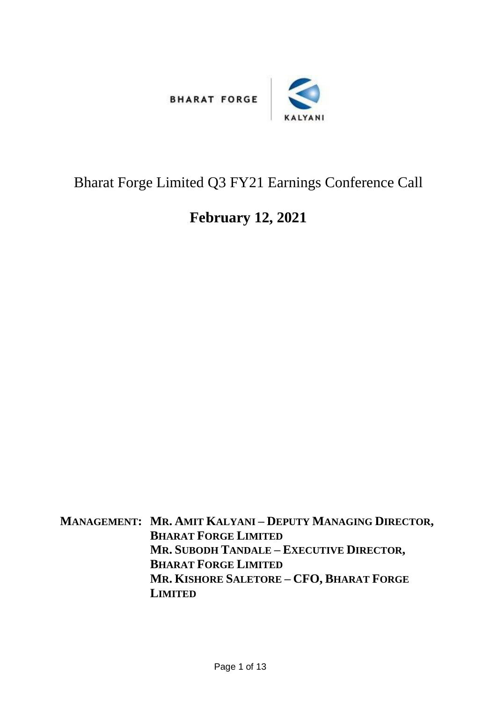



## Bharat Forge Limited Q3 FY21 Earnings Conference Call

## **February 12, 2021**

**MANAGEMENT: MR. AMIT KALYANI – DEPUTY MANAGING DIRECTOR, BHARAT FORGE LIMITED MR. SUBODH TANDALE – EXECUTIVE DIRECTOR, BHARAT FORGE LIMITED MR. KISHORE SALETORE – CFO, BHARAT FORGE LIMITED**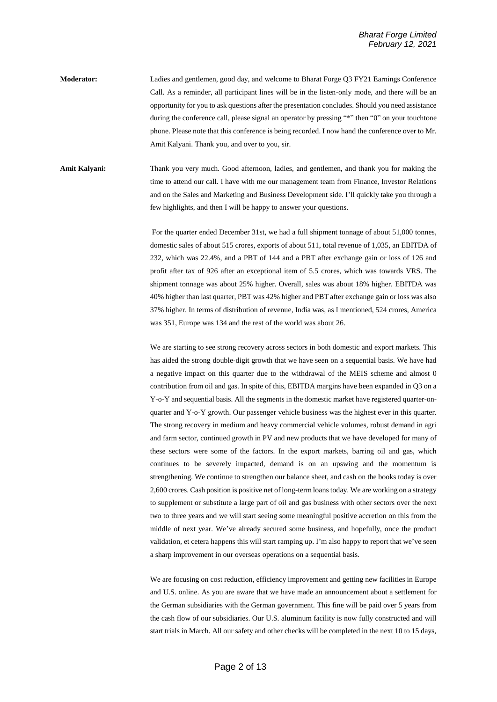**Moderator:** Ladies and gentlemen, good day, and welcome to Bharat Forge Q3 FY21 Earnings Conference Call. As a reminder, all participant lines will be in the listen-only mode, and there will be an opportunity for you to ask questions after the presentation concludes. Should you need assistance during the conference call, please signal an operator by pressing "\*" then "0" on your touchtone phone. Please note that this conference is being recorded. I now hand the conference over to Mr. Amit Kalyani. Thank you, and over to you, sir.

**Amit Kalyani:** Thank you very much. Good afternoon, ladies, and gentlemen, and thank you for making the time to attend our call. I have with me our management team from Finance, Investor Relations and on the Sales and Marketing and Business Development side. I'll quickly take you through a few highlights, and then I will be happy to answer your questions.

> For the quarter ended December 31st, we had a full shipment tonnage of about 51,000 tonnes, domestic sales of about 515 crores, exports of about 511, total revenue of 1,035, an EBITDA of 232, which was 22.4%, and a PBT of 144 and a PBT after exchange gain or loss of 126 and profit after tax of 926 after an exceptional item of 5.5 crores, which was towards VRS. The shipment tonnage was about 25% higher. Overall, sales was about 18% higher. EBITDA was 40% higher than last quarter, PBT was 42% higher and PBT after exchange gain or loss was also 37% higher. In terms of distribution of revenue, India was, as I mentioned, 524 crores, America was 351, Europe was 134 and the rest of the world was about 26.

> We are starting to see strong recovery across sectors in both domestic and export markets. This has aided the strong double-digit growth that we have seen on a sequential basis. We have had a negative impact on this quarter due to the withdrawal of the MEIS scheme and almost 0 contribution from oil and gas. In spite of this, EBITDA margins have been expanded in Q3 on a Y-o-Y and sequential basis. All the segments in the domestic market have registered quarter-onquarter and Y-o-Y growth. Our passenger vehicle business was the highest ever in this quarter. The strong recovery in medium and heavy commercial vehicle volumes, robust demand in agri and farm sector, continued growth in PV and new products that we have developed for many of these sectors were some of the factors. In the export markets, barring oil and gas, which continues to be severely impacted, demand is on an upswing and the momentum is strengthening. We continue to strengthen our balance sheet, and cash on the books today is over 2,600 crores. Cash position is positive net of long-term loans today. We are working on a strategy to supplement or substitute a large part of oil and gas business with other sectors over the next two to three years and we will start seeing some meaningful positive accretion on this from the middle of next year. We've already secured some business, and hopefully, once the product validation, et cetera happens this will start ramping up. I'm also happy to report that we've seen a sharp improvement in our overseas operations on a sequential basis.

> We are focusing on cost reduction, efficiency improvement and getting new facilities in Europe and U.S. online. As you are aware that we have made an announcement about a settlement for the German subsidiaries with the German government. This fine will be paid over 5 years from the cash flow of our subsidiaries. Our U.S. aluminum facility is now fully constructed and will start trials in March. All our safety and other checks will be completed in the next 10 to 15 days,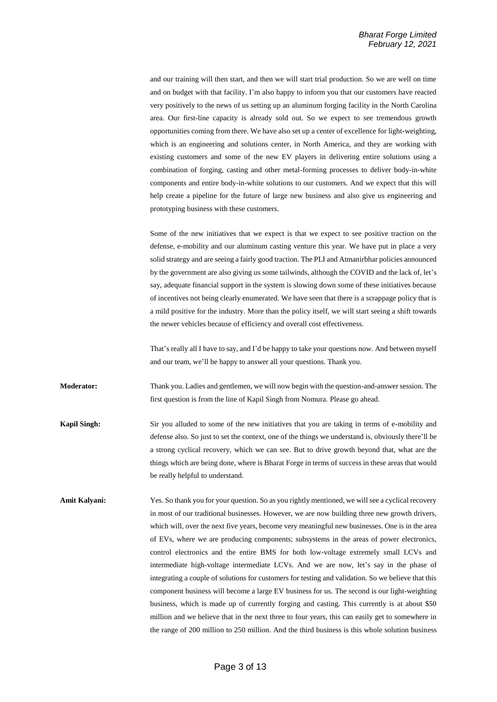and our training will then start, and then we will start trial production. So we are well on time and on budget with that facility. I'm also happy to inform you that our customers have reacted very positively to the news of us setting up an aluminum forging facility in the North Carolina area. Our first-line capacity is already sold out. So we expect to see tremendous growth opportunities coming from there. We have also set up a center of excellence for light-weighting, which is an engineering and solutions center, in North America, and they are working with existing customers and some of the new EV players in delivering entire solutions using a combination of forging, casting and other metal-forming processes to deliver body-in-white components and entire body-in-white solutions to our customers. And we expect that this will help create a pipeline for the future of large new business and also give us engineering and prototyping business with these customers.

Some of the new initiatives that we expect is that we expect to see positive traction on the defense, e-mobility and our aluminum casting venture this year. We have put in place a very solid strategy and are seeing a fairly good traction. The PLI and Atmanirbhar policies announced by the government are also giving us some tailwinds, although the COVID and the lack of, let's say, adequate financial support in the system is slowing down some of these initiatives because of incentives not being clearly enumerated. We have seen that there is a scrappage policy that is a mild positive for the industry. More than the policy itself, we will start seeing a shift towards the newer vehicles because of efficiency and overall cost effectiveness.

That's really all I have to say, and I'd be happy to take your questions now. And between myself and our team, we'll be happy to answer all your questions. Thank you.

**Moderator:** Thank you. Ladies and gentlemen, we will now begin with the question-and-answer session. The first question is from the line of Kapil Singh from Nomura. Please go ahead.

**Kapil Singh:** Sir you alluded to some of the new initiatives that you are taking in terms of e-mobility and defense also. So just to set the context, one of the things we understand is, obviously there'll be a strong cyclical recovery, which we can see. But to drive growth beyond that, what are the things which are being done, where is Bharat Forge in terms of success in these areas that would be really helpful to understand.

Amit Kalyani: Yes. So thank you for your question. So as you rightly mentioned, we will see a cyclical recovery in most of our traditional businesses. However, we are now building three new growth drivers, which will, over the next five years, become very meaningful new businesses. One is in the area of EVs, where we are producing components; subsystems in the areas of power electronics, control electronics and the entire BMS for both low-voltage extremely small LCVs and intermediate high-voltage intermediate LCVs. And we are now, let's say in the phase of integrating a couple of solutions for customers for testing and validation. So we believe that this component business will become a large EV business for us. The second is our light-weighting business, which is made up of currently forging and casting. This currently is at about \$50 million and we believe that in the next three to four years, this can easily get to somewhere in the range of 200 million to 250 million. And the third business is this whole solution business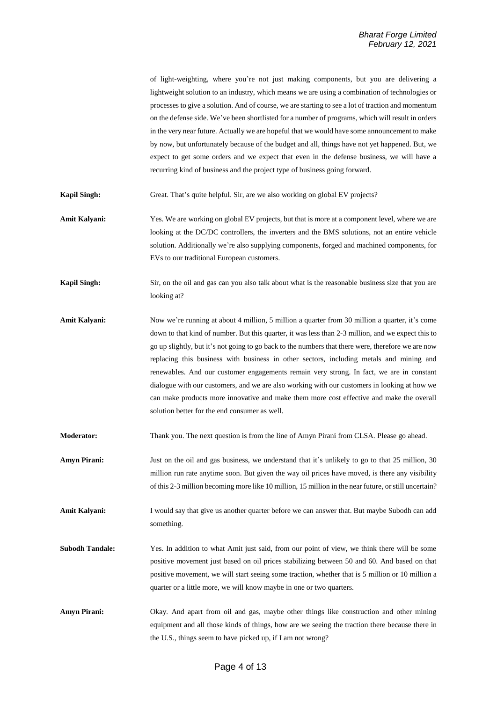of light-weighting, where you're not just making components, but you are delivering a lightweight solution to an industry, which means we are using a combination of technologies or processes to give a solution. And of course, we are starting to see a lot of traction and momentum on the defense side. We've been shortlisted for a number of programs, which will result in orders in the very near future. Actually we are hopeful that we would have some announcement to make by now, but unfortunately because of the budget and all, things have not yet happened. But, we expect to get some orders and we expect that even in the defense business, we will have a recurring kind of business and the project type of business going forward.

**Kapil Singh:** Great. That's quite helpful. Sir, are we also working on global EV projects?

- Amit Kalyani: Yes. We are working on global EV projects, but that is more at a component level, where we are looking at the DC/DC controllers, the inverters and the BMS solutions, not an entire vehicle solution. Additionally we're also supplying components, forged and machined components, for EVs to our traditional European customers.
- **Kapil Singh:** Sir, on the oil and gas can you also talk about what is the reasonable business size that you are looking at?
- Amit Kalyani: Now we're running at about 4 million, 5 million a quarter from 30 million a quarter, it's come down to that kind of number. But this quarter, it was less than 2-3 million, and we expect this to go up slightly, but it's not going to go back to the numbers that there were, therefore we are now replacing this business with business in other sectors, including metals and mining and renewables. And our customer engagements remain very strong. In fact, we are in constant dialogue with our customers, and we are also working with our customers in looking at how we can make products more innovative and make them more cost effective and make the overall solution better for the end consumer as well.

**Moderator:** Thank you. The next question is from the line of Amyn Pirani from CLSA. Please go ahead.

- **Amyn Pirani:** Just on the oil and gas business, we understand that it's unlikely to go to that 25 million, 30 million run rate anytime soon. But given the way oil prices have moved, is there any visibility of this 2-3 million becoming more like 10 million, 15 million in the near future, or still uncertain?
- **Amit Kalyani:** I would say that give us another quarter before we can answer that. But maybe Subodh can add something.
- **Subodh Tandale:** Yes. In addition to what Amit just said, from our point of view, we think there will be some positive movement just based on oil prices stabilizing between 50 and 60. And based on that positive movement, we will start seeing some traction, whether that is 5 million or 10 million a quarter or a little more, we will know maybe in one or two quarters.
- **Amyn Pirani:** Okay. And apart from oil and gas, maybe other things like construction and other mining equipment and all those kinds of things, how are we seeing the traction there because there in the U.S., things seem to have picked up, if I am not wrong?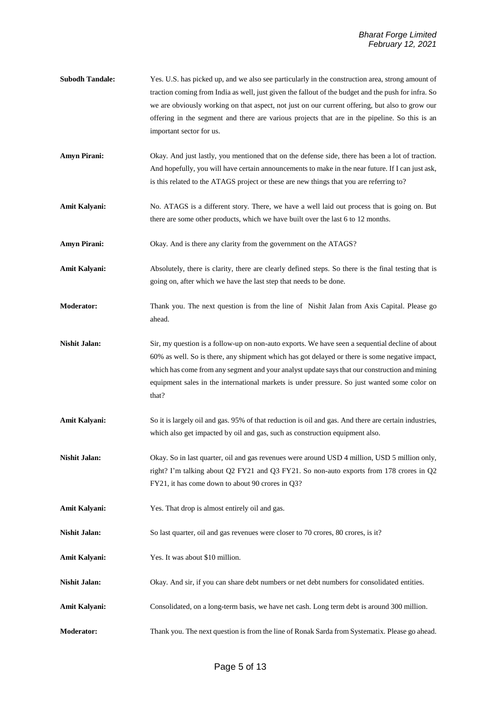- **Subodh Tandale:** Yes. U.S. has picked up, and we also see particularly in the construction area, strong amount of traction coming from India as well, just given the fallout of the budget and the push for infra. So we are obviously working on that aspect, not just on our current offering, but also to grow our offering in the segment and there are various projects that are in the pipeline. So this is an important sector for us.
- **Amyn Pirani:** Okay. And just lastly, you mentioned that on the defense side, there has been a lot of traction. And hopefully, you will have certain announcements to make in the near future. If I can just ask, is this related to the ATAGS project or these are new things that you are referring to?
- **Amit Kalyani:** No. ATAGS is a different story. There, we have a well laid out process that is going on. But there are some other products, which we have built over the last 6 to 12 months.
- **Amyn Pirani:** Okay. And is there any clarity from the government on the ATAGS?
- **Amit Kalyani:** Absolutely, there is clarity, there are clearly defined steps. So there is the final testing that is going on, after which we have the last step that needs to be done.
- **Moderator:** Thank you. The next question is from the line of Nishit Jalan from Axis Capital. Please go ahead.
- **Nishit Jalan:** Sir, my question is a follow-up on non-auto exports. We have seen a sequential decline of about 60% as well. So is there, any shipment which has got delayed or there is some negative impact, which has come from any segment and your analyst update says that our construction and mining equipment sales in the international markets is under pressure. So just wanted some color on that?
- **Amit Kalyani:** So it is largely oil and gas. 95% of that reduction is oil and gas. And there are certain industries, which also get impacted by oil and gas, such as construction equipment also.
- **Nishit Jalan:** Okay. So in last quarter, oil and gas revenues were around USD 4 million, USD 5 million only, right? I'm talking about Q2 FY21 and Q3 FY21. So non-auto exports from 178 crores in Q2 FY21, it has come down to about 90 crores in Q3?
- **Amit Kalyani:** Yes. That drop is almost entirely oil and gas.
- **Nishit Jalan:** So last quarter, oil and gas revenues were closer to 70 crores, 80 crores, is it?
- **Amit Kalyani:** Yes. It was about \$10 million.
- **Nishit Jalan:** Okay. And sir, if you can share debt numbers or net debt numbers for consolidated entities.
- **Amit Kalyani:** Consolidated, on a long-term basis, we have net cash. Long term debt is around 300 million.
- **Moderator:** Thank you. The next question is from the line of Ronak Sarda from Systematix. Please go ahead.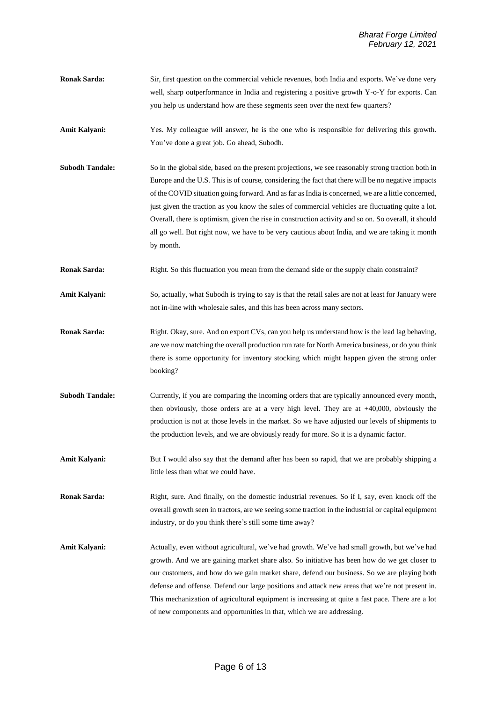- **Ronak Sarda:** Sir, first question on the commercial vehicle revenues, both India and exports. We've done very well, sharp outperformance in India and registering a positive growth Y-o-Y for exports. Can you help us understand how are these segments seen over the next few quarters?
- **Amit Kalyani:** Yes. My colleague will answer, he is the one who is responsible for delivering this growth. You've done a great job. Go ahead, Subodh.
- **Subodh Tandale:** So in the global side, based on the present projections, we see reasonably strong traction both in Europe and the U.S. This is of course, considering the fact that there will be no negative impacts of the COVID situation going forward. And as far as India is concerned, we are a little concerned, just given the traction as you know the sales of commercial vehicles are fluctuating quite a lot. Overall, there is optimism, given the rise in construction activity and so on. So overall, it should all go well. But right now, we have to be very cautious about India, and we are taking it month by month.
- **Ronak Sarda:** Right. So this fluctuation you mean from the demand side or the supply chain constraint?
- Amit Kalyani: So, actually, what Subodh is trying to say is that the retail sales are not at least for January were not in-line with wholesale sales, and this has been across many sectors.
- **Ronak Sarda:** Right. Okay, sure. And on export CVs, can you help us understand how is the lead lag behaving, are we now matching the overall production run rate for North America business, or do you think there is some opportunity for inventory stocking which might happen given the strong order booking?
- **Subodh Tandale:** Currently, if you are comparing the incoming orders that are typically announced every month, then obviously, those orders are at a very high level. They are at +40,000, obviously the production is not at those levels in the market. So we have adjusted our levels of shipments to the production levels, and we are obviously ready for more. So it is a dynamic factor.
- Amit Kalyani: But I would also say that the demand after has been so rapid, that we are probably shipping a little less than what we could have.

**Ronak Sarda:** Right, sure. And finally, on the domestic industrial revenues. So if I, say, even knock off the overall growth seen in tractors, are we seeing some traction in the industrial or capital equipment industry, or do you think there's still some time away?

**Amit Kalyani:** Actually, even without agricultural, we've had growth. We've had small growth, but we've had growth. And we are gaining market share also. So initiative has been how do we get closer to our customers, and how do we gain market share, defend our business. So we are playing both defense and offense. Defend our large positions and attack new areas that we're not present in. This mechanization of agricultural equipment is increasing at quite a fast pace. There are a lot of new components and opportunities in that, which we are addressing.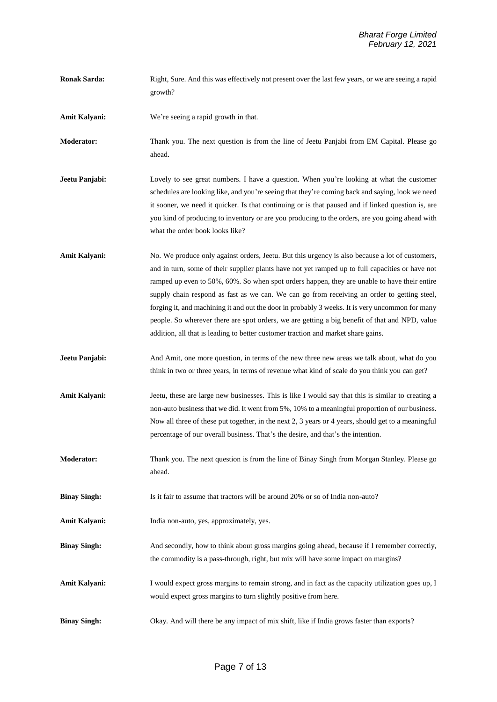**Ronak Sarda:** Right, Sure. And this was effectively not present over the last few years, or we are seeing a rapid growth? **Amit Kalyani:** We're seeing a rapid growth in that. **Moderator:** Thank you. The next question is from the line of Jeetu Panjabi from EM Capital. Please go ahead. **Jeetu Panjabi:** Lovely to see great numbers. I have a question. When you're looking at what the customer schedules are looking like, and you're seeing that they're coming back and saying, look we need it sooner, we need it quicker. Is that continuing or is that paused and if linked question is, are you kind of producing to inventory or are you producing to the orders, are you going ahead with what the order book looks like? **Amit Kalyani:** No. We produce only against orders, Jeetu. But this urgency is also because a lot of customers, and in turn, some of their supplier plants have not yet ramped up to full capacities or have not ramped up even to 50%, 60%. So when spot orders happen, they are unable to have their entire supply chain respond as fast as we can. We can go from receiving an order to getting steel, forging it, and machining it and out the door in probably 3 weeks. It is very uncommon for many people. So wherever there are spot orders, we are getting a big benefit of that and NPD, value addition, all that is leading to better customer traction and market share gains. **Jeetu Panjabi:** And Amit, one more question, in terms of the new three new areas we talk about, what do you think in two or three years, in terms of revenue what kind of scale do you think you can get? **Amit Kalyani:** Jeetu, these are large new businesses. This is like I would say that this is similar to creating a non-auto business that we did. It went from 5%, 10% to a meaningful proportion of our business. Now all three of these put together, in the next 2, 3 years or 4 years, should get to a meaningful percentage of our overall business. That's the desire, and that's the intention. **Moderator:** Thank you. The next question is from the line of Binay Singh from Morgan Stanley. Please go ahead. **Binay Singh:** Is it fair to assume that tractors will be around 20% or so of India non-auto? **Amit Kalyani:** India non-auto, yes, approximately, yes. **Binay Singh:** And secondly, how to think about gross margins going ahead, because if I remember correctly, the commodity is a pass-through, right, but mix will have some impact on margins? **Amit Kalyani:** I would expect gross margins to remain strong, and in fact as the capacity utilization goes up, I would expect gross margins to turn slightly positive from here. **Binay Singh:** Okay. And will there be any impact of mix shift, like if India grows faster than exports?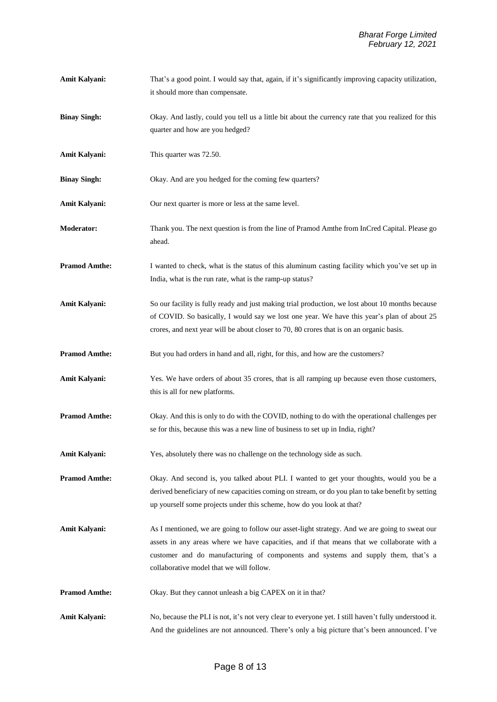**Amit Kalyani:** That's a good point. I would say that, again, if it's significantly improving capacity utilization, it should more than compensate. **Binay Singh:** Okay. And lastly, could you tell us a little bit about the currency rate that you realized for this quarter and how are you hedged? **Amit Kalyani:** This quarter was 72.50. **Binay Singh:** Okay. And are you hedged for the coming few quarters? Amit Kalyani: Our next quarter is more or less at the same level. **Moderator:** Thank you. The next question is from the line of Pramod Amthe from InCred Capital. Please go ahead. **Pramod Amthe:** I wanted to check, what is the status of this aluminum casting facility which you've set up in India, what is the run rate, what is the ramp-up status? **Amit Kalyani:** So our facility is fully ready and just making trial production, we lost about 10 months because of COVID. So basically, I would say we lost one year. We have this year's plan of about 25 crores, and next year will be about closer to 70, 80 crores that is on an organic basis. **Pramod Amthe:** But you had orders in hand and all, right, for this, and how are the customers? Amit Kalyani: Yes. We have orders of about 35 crores, that is all ramping up because even those customers, this is all for new platforms. **Pramod Amthe:** Okay. And this is only to do with the COVID, nothing to do with the operational challenges per se for this, because this was a new line of business to set up in India, right? Amit Kalyani: Yes, absolutely there was no challenge on the technology side as such. **Pramod Amthe:** Okay. And second is, you talked about PLI. I wanted to get your thoughts, would you be a derived beneficiary of new capacities coming on stream, or do you plan to take benefit by setting up yourself some projects under this scheme, how do you look at that? **Amit Kalyani:** As I mentioned, we are going to follow our asset-light strategy. And we are going to sweat our assets in any areas where we have capacities, and if that means that we collaborate with a customer and do manufacturing of components and systems and supply them, that's a collaborative model that we will follow. **Pramod Amthe:** Okay. But they cannot unleash a big CAPEX on it in that? **Amit Kalyani:** No, because the PLI is not, it's not very clear to everyone yet. I still haven't fully understood it. And the guidelines are not announced. There's only a big picture that's been announced. I've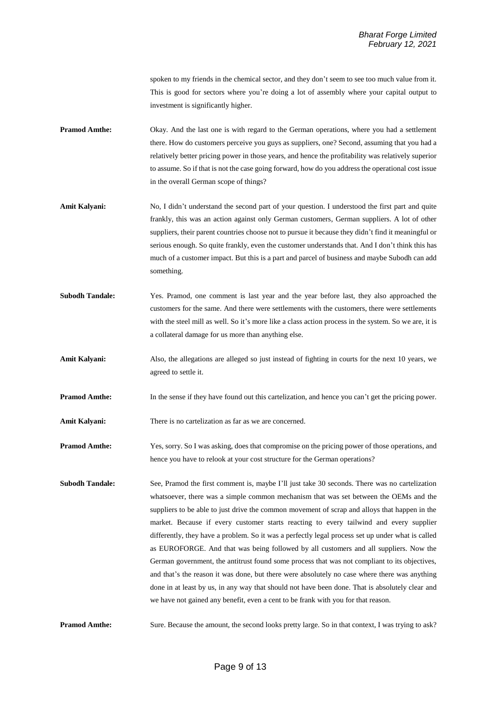spoken to my friends in the chemical sector, and they don't seem to see too much value from it. This is good for sectors where you're doing a lot of assembly where your capital output to investment is significantly higher.

- **Pramod Amthe:** Okay. And the last one is with regard to the German operations, where you had a settlement there. How do customers perceive you guys as suppliers, one? Second, assuming that you had a relatively better pricing power in those years, and hence the profitability was relatively superior to assume. So if that is not the case going forward, how do you address the operational cost issue in the overall German scope of things?
- **Amit Kalyani:** No, I didn't understand the second part of your question. I understood the first part and quite frankly, this was an action against only German customers, German suppliers. A lot of other suppliers, their parent countries choose not to pursue it because they didn't find it meaningful or serious enough. So quite frankly, even the customer understands that. And I don't think this has much of a customer impact. But this is a part and parcel of business and maybe Subodh can add something.
- **Subodh Tandale:** Yes. Pramod, one comment is last year and the year before last, they also approached the customers for the same. And there were settlements with the customers, there were settlements with the steel mill as well. So it's more like a class action process in the system. So we are, it is a collateral damage for us more than anything else.
- Amit Kalyani: Also, the allegations are alleged so just instead of fighting in courts for the next 10 years, we agreed to settle it.
- **Pramod Amthe:** In the sense if they have found out this cartelization, and hence you can't get the pricing power.
- Amit Kalyani: There is no cartelization as far as we are concerned.
- **Pramod Amthe:** Yes, sorry. So I was asking, does that compromise on the pricing power of those operations, and hence you have to relook at your cost structure for the German operations?
- **Subodh Tandale:** See, Pramod the first comment is, maybe I'll just take 30 seconds. There was no cartelization whatsoever, there was a simple common mechanism that was set between the OEMs and the suppliers to be able to just drive the common movement of scrap and alloys that happen in the market. Because if every customer starts reacting to every tailwind and every supplier differently, they have a problem. So it was a perfectly legal process set up under what is called as EUROFORGE. And that was being followed by all customers and all suppliers. Now the German government, the antitrust found some process that was not compliant to its objectives, and that's the reason it was done, but there were absolutely no case where there was anything done in at least by us, in any way that should not have been done. That is absolutely clear and we have not gained any benefit, even a cent to be frank with you for that reason.

**Pramod Amthe:** Sure. Because the amount, the second looks pretty large. So in that context, I was trying to ask?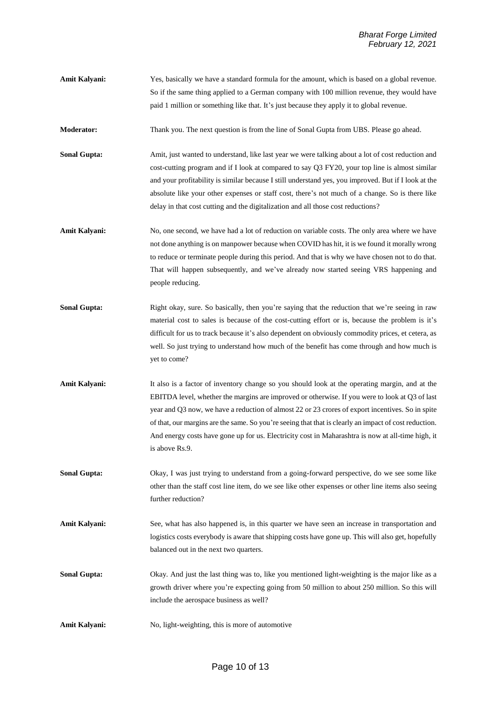Amit Kalyani: Yes, basically we have a standard formula for the amount, which is based on a global revenue. So if the same thing applied to a German company with 100 million revenue, they would have paid 1 million or something like that. It's just because they apply it to global revenue.

**Moderator:** Thank you. The next question is from the line of Sonal Gupta from UBS. Please go ahead.

**Sonal Gupta:** Amit, just wanted to understand, like last year we were talking about a lot of cost reduction and cost-cutting program and if I look at compared to say Q3 FY20, your top line is almost similar and your profitability is similar because I still understand yes, you improved. But if I look at the absolute like your other expenses or staff cost, there's not much of a change. So is there like delay in that cost cutting and the digitalization and all those cost reductions?

- Amit Kalyani: No, one second, we have had a lot of reduction on variable costs. The only area where we have not done anything is on manpower because when COVID has hit, it is we found it morally wrong to reduce or terminate people during this period. And that is why we have chosen not to do that. That will happen subsequently, and we've already now started seeing VRS happening and people reducing.
- **Sonal Gupta:** Right okay, sure. So basically, then you're saying that the reduction that we're seeing in raw material cost to sales is because of the cost-cutting effort or is, because the problem is it's difficult for us to track because it's also dependent on obviously commodity prices, et cetera, as well. So just trying to understand how much of the benefit has come through and how much is yet to come?
- **Amit Kalyani:** It also is a factor of inventory change so you should look at the operating margin, and at the EBITDA level, whether the margins are improved or otherwise. If you were to look at Q3 of last year and Q3 now, we have a reduction of almost 22 or 23 crores of export incentives. So in spite of that, our margins are the same. So you're seeing that that is clearly an impact of cost reduction. And energy costs have gone up for us. Electricity cost in Maharashtra is now at all-time high, it is above Rs.9.
- **Sonal Gupta:** Okay, I was just trying to understand from a going-forward perspective, do we see some like other than the staff cost line item, do we see like other expenses or other line items also seeing further reduction?
- **Amit Kalyani:** See, what has also happened is, in this quarter we have seen an increase in transportation and logistics costs everybody is aware that shipping costs have gone up. This will also get, hopefully balanced out in the next two quarters.
- **Sonal Gupta:** Okay. And just the last thing was to, like you mentioned light-weighting is the major like as a growth driver where you're expecting going from 50 million to about 250 million. So this will include the aerospace business as well?
- Amit Kalyani: No, light-weighting, this is more of automotive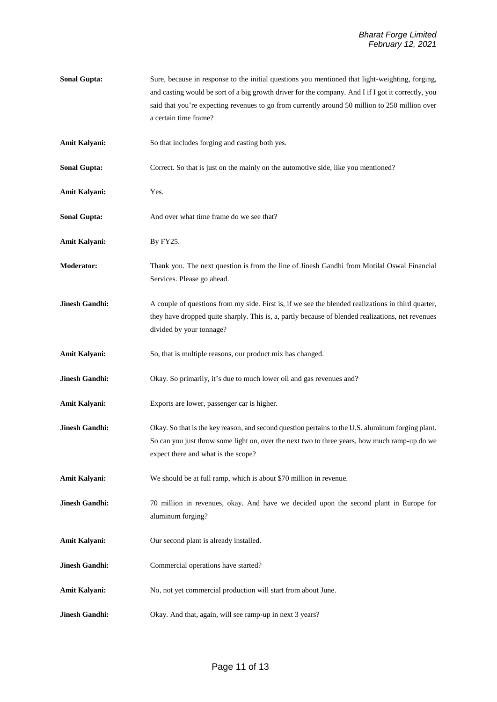| <b>Sonal Gupta:</b>   | Sure, because in response to the initial questions you mentioned that light-weighting, forging,<br>and casting would be sort of a big growth driver for the company. And I if I got it correctly, you<br>said that you're expecting revenues to go from currently around 50 million to 250 million over<br>a certain time frame? |
|-----------------------|----------------------------------------------------------------------------------------------------------------------------------------------------------------------------------------------------------------------------------------------------------------------------------------------------------------------------------|
| Amit Kalyani:         | So that includes forging and casting both yes.                                                                                                                                                                                                                                                                                   |
| <b>Sonal Gupta:</b>   | Correct. So that is just on the mainly on the automotive side, like you mentioned?                                                                                                                                                                                                                                               |
| Amit Kalyani:         | Yes.                                                                                                                                                                                                                                                                                                                             |
| <b>Sonal Gupta:</b>   | And over what time frame do we see that?                                                                                                                                                                                                                                                                                         |
| Amit Kalyani:         | By FY25.                                                                                                                                                                                                                                                                                                                         |
| Moderator:            | Thank you. The next question is from the line of Jinesh Gandhi from Motilal Oswal Financial<br>Services. Please go ahead.                                                                                                                                                                                                        |
| <b>Jinesh Gandhi:</b> | A couple of questions from my side. First is, if we see the blended realizations in third quarter,<br>they have dropped quite sharply. This is, a, partly because of blended realizations, net revenues<br>divided by your tonnage?                                                                                              |
| Amit Kalyani:         | So, that is multiple reasons, our product mix has changed.                                                                                                                                                                                                                                                                       |
| <b>Jinesh Gandhi:</b> | Okay. So primarily, it's due to much lower oil and gas revenues and?                                                                                                                                                                                                                                                             |
| Amit Kalyani:         | Exports are lower, passenger car is higher.                                                                                                                                                                                                                                                                                      |
| <b>Jinesh Gandhi:</b> | Okay. So that is the key reason, and second question pertains to the U.S. aluminum forging plant.<br>So can you just throw some light on, over the next two to three years, how much ramp-up do we<br>expect there and what is the scope?                                                                                        |
| Amit Kalyani:         | We should be at full ramp, which is about \$70 million in revenue.                                                                                                                                                                                                                                                               |
| <b>Jinesh Gandhi:</b> | 70 million in revenues, okay. And have we decided upon the second plant in Europe for<br>aluminum forging?                                                                                                                                                                                                                       |
| Amit Kalyani:         | Our second plant is already installed.                                                                                                                                                                                                                                                                                           |
| <b>Jinesh Gandhi:</b> | Commercial operations have started?                                                                                                                                                                                                                                                                                              |
| Amit Kalyani:         | No, not yet commercial production will start from about June.                                                                                                                                                                                                                                                                    |
| <b>Jinesh Gandhi:</b> | Okay. And that, again, will see ramp-up in next 3 years?                                                                                                                                                                                                                                                                         |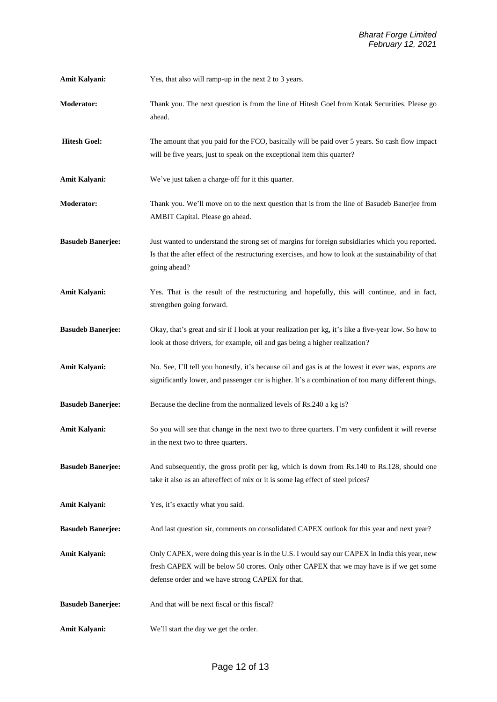**Amit Kalyani:** Yes, that also will ramp-up in the next 2 to 3 years.

- **Moderator:** Thank you. The next question is from the line of Hitesh Goel from Kotak Securities. Please go ahead.
- **Hitesh Goel:** The amount that you paid for the FCO, basically will be paid over 5 years. So cash flow impact will be five years, just to speak on the exceptional item this quarter?
- **Amit Kalyani:** We've just taken a charge-off for it this quarter.
- **Moderator:** Thank you. We'll move on to the next question that is from the line of Basudeb Banerjee from AMBIT Capital. Please go ahead.
- **Basudeb Banerjee:** Just wanted to understand the strong set of margins for foreign subsidiaries which you reported. Is that the after effect of the restructuring exercises, and how to look at the sustainability of that going ahead?
- **Amit Kalyani:** Yes. That is the result of the restructuring and hopefully, this will continue, and in fact, strengthen going forward.
- **Basudeb Banerjee:** Okay, that's great and sir if I look at your realization per kg, it's like a five-year low. So how to look at those drivers, for example, oil and gas being a higher realization?
- Amit Kalyani: No. See, I'll tell you honestly, it's because oil and gas is at the lowest it ever was, exports are significantly lower, and passenger car is higher. It's a combination of too many different things.
- **Basudeb Banerjee:** Because the decline from the normalized levels of Rs.240 a kg is?
- Amit Kalyani: So you will see that change in the next two to three quarters. I'm very confident it will reverse in the next two to three quarters.
- **Basudeb Banerjee:** And subsequently, the gross profit per kg, which is down from Rs.140 to Rs.128, should one take it also as an aftereffect of mix or it is some lag effect of steel prices?
- **Amit Kalyani:** Yes, it's exactly what you said.

**Basudeb Banerjee:** And last question sir, comments on consolidated CAPEX outlook for this year and next year?

- **Amit Kalyani:** Only CAPEX, were doing this year is in the U.S. I would say our CAPEX in India this year, new fresh CAPEX will be below 50 crores. Only other CAPEX that we may have is if we get some defense order and we have strong CAPEX for that.
- **Basudeb Banerjee:** And that will be next fiscal or this fiscal?
- Amit Kalyani: We'll start the day we get the order.